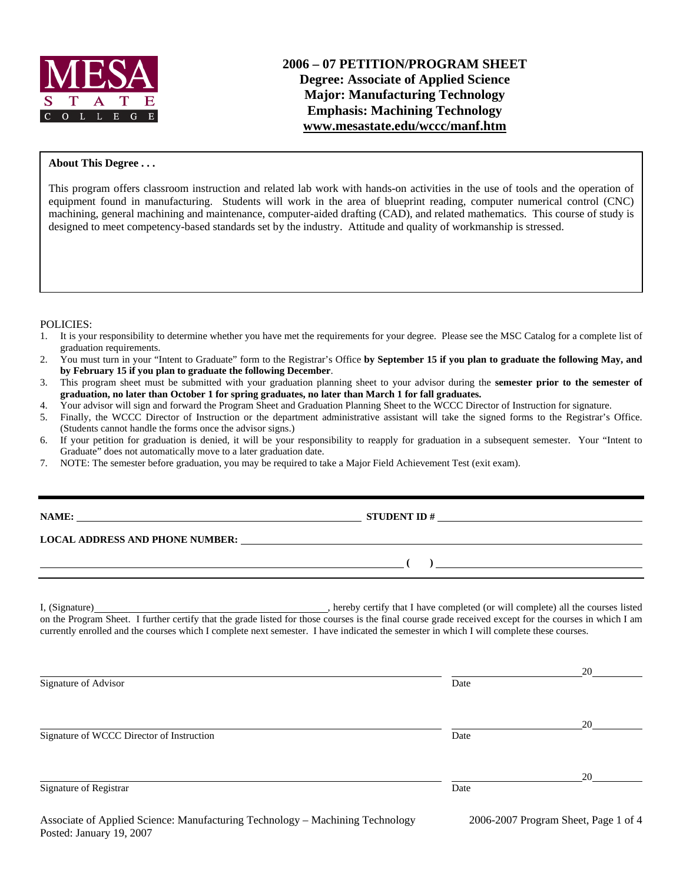

# **2006 – 07 PETITION/PROGRAM SHEET Degree: Associate of Applied Science Major: Manufacturing Technology Emphasis: Machining Technology www.mesastate.edu/wccc/manf.htm**

#### **About This Degree . . .**

This program offers classroom instruction and related lab work with hands-on activities in the use of tools and the operation of equipment found in manufacturing. Students will work in the area of blueprint reading, computer numerical control (CNC) machining, general machining and maintenance, computer-aided drafting (CAD), and related mathematics. This course of study is designed to meet competency-based standards set by the industry. Attitude and quality of workmanship is stressed.

POLICIES:

- 1. It is your responsibility to determine whether you have met the requirements for your degree. Please see the MSC Catalog for a complete list of graduation requirements.
- 2. You must turn in your "Intent to Graduate" form to the Registrar's Office **by September 15 if you plan to graduate the following May, and by February 15 if you plan to graduate the following December**.
- 3. This program sheet must be submitted with your graduation planning sheet to your advisor during the **semester prior to the semester of graduation, no later than October 1 for spring graduates, no later than March 1 for fall graduates.**
- 4. Your advisor will sign and forward the Program Sheet and Graduation Planning Sheet to the WCCC Director of Instruction for signature.
- 5. Finally, the WCCC Director of Instruction or the department administrative assistant will take the signed forms to the Registrar's Office. (Students cannot handle the forms once the advisor signs.)
- 6. If your petition for graduation is denied, it will be your responsibility to reapply for graduation in a subsequent semester. Your "Intent to Graduate" does not automatically move to a later graduation date.
- 7. NOTE: The semester before graduation, you may be required to take a Major Field Achievement Test (exit exam).

| NAME:                                  | <b>STUDENT ID#</b>                                                                                                   |
|----------------------------------------|----------------------------------------------------------------------------------------------------------------------|
| <b>LOCAL ADDRESS AND PHONE NUMBER:</b> | <u> 1989 - Johann Stein, marwolaethau a chwaraethau a chwaraethau a chwaraethau a chwaraethau a chwaraethau a ch</u> |
|                                        |                                                                                                                      |
|                                        |                                                                                                                      |
|                                        |                                                                                                                      |

I, (Signature) , hereby certify that I have completed (or will complete) all the courses listed on the Program Sheet. I further certify that the grade listed for those courses is the final course grade received except for the courses in which I am currently enrolled and the courses which I complete next semester. I have indicated the semester in which I will complete these courses.

| Signature of Advisor                      | Date | 20 |
|-------------------------------------------|------|----|
|                                           |      | 20 |
| Signature of WCCC Director of Instruction | Date |    |
| Signature of Registrar                    | Date | 20 |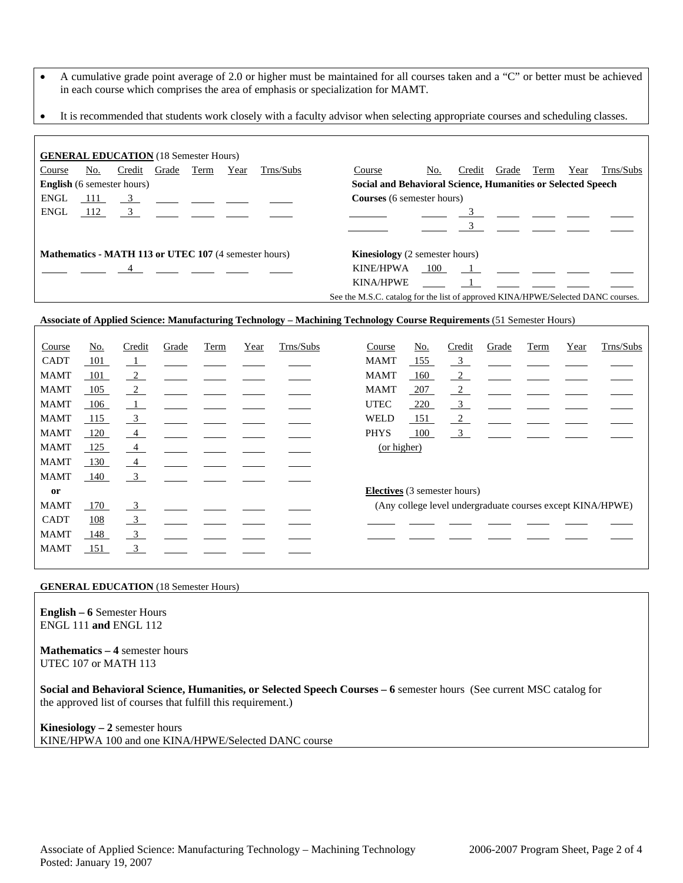- A cumulative grade point average of 2.0 or higher must be maintained for all courses taken and a "C" or better must be achieved in each course which comprises the area of emphasis or specialization for MAMT.
- It is recommended that students work closely with a faculty advisor when selecting appropriate courses and scheduling classes.

| <b>GENERAL EDUCATION</b> (18 Semester Hours)                 |     |                                                                                                                                                                                                                                                                                                                        |       |      |      |                                                                                                                                                                                                                                                                                                                   |                                                              |                                                                                  |     |                                                                                             |                                                                                                                                                                                                                               |      |      |           |
|--------------------------------------------------------------|-----|------------------------------------------------------------------------------------------------------------------------------------------------------------------------------------------------------------------------------------------------------------------------------------------------------------------------|-------|------|------|-------------------------------------------------------------------------------------------------------------------------------------------------------------------------------------------------------------------------------------------------------------------------------------------------------------------|--------------------------------------------------------------|----------------------------------------------------------------------------------|-----|---------------------------------------------------------------------------------------------|-------------------------------------------------------------------------------------------------------------------------------------------------------------------------------------------------------------------------------|------|------|-----------|
| Course                                                       | No. | Credit                                                                                                                                                                                                                                                                                                                 | Grade | Term | Year | Trns/Subs                                                                                                                                                                                                                                                                                                         |                                                              | Course                                                                           | No. | Credit                                                                                      | Grade                                                                                                                                                                                                                         | Term | Year | Trns/Subs |
| <b>English</b> (6 semester hours)                            |     |                                                                                                                                                                                                                                                                                                                        |       |      |      |                                                                                                                                                                                                                                                                                                                   | Social and Behavioral Science, Humanities or Selected Speech |                                                                                  |     |                                                                                             |                                                                                                                                                                                                                               |      |      |           |
| ENGL                                                         |     |                                                                                                                                                                                                                                                                                                                        |       |      |      | $\frac{111}{2}$ $\frac{3}{2}$ $\frac{11}{2}$ $\frac{3}{2}$ $\frac{11}{2}$ $\frac{3}{2}$ $\frac{11}{2}$ $\frac{3}{2}$ $\frac{11}{2}$ $\frac{3}{2}$ $\frac{11}{2}$ $\frac{3}{2}$ $\frac{11}{2}$ $\frac{3}{2}$ $\frac{11}{2}$ $\frac{3}{2}$ $\frac{11}{2}$ $\frac{3}{2}$ $\frac{11}{2}$ $\frac{3}{2}$ $\frac{11}{2}$ |                                                              | <b>Courses</b> (6 semester hours)                                                |     |                                                                                             |                                                                                                                                                                                                                               |      |      |           |
| ENGL                                                         |     | $\frac{112}{2}$ 3 $\frac{3}{2}$ $\frac{3}{2}$ $\frac{3}{2}$ $\frac{3}{2}$ $\frac{3}{2}$ $\frac{3}{2}$ $\frac{3}{2}$ $\frac{3}{2}$ $\frac{3}{2}$ $\frac{3}{2}$ $\frac{3}{2}$ $\frac{3}{2}$ $\frac{3}{2}$ $\frac{3}{2}$ $\frac{3}{2}$ $\frac{3}{2}$ $\frac{3}{2}$ $\frac{3}{2}$ $\frac{3}{2}$ $\frac{3}{2}$ $\frac{3}{2$ |       |      |      |                                                                                                                                                                                                                                                                                                                   |                                                              |                                                                                  |     |                                                                                             |                                                                                                                                                                                                                               |      |      |           |
|                                                              |     |                                                                                                                                                                                                                                                                                                                        |       |      |      |                                                                                                                                                                                                                                                                                                                   |                                                              |                                                                                  |     |                                                                                             |                                                                                                                                                                                                                               |      |      |           |
|                                                              |     |                                                                                                                                                                                                                                                                                                                        |       |      |      |                                                                                                                                                                                                                                                                                                                   |                                                              |                                                                                  |     |                                                                                             |                                                                                                                                                                                                                               |      |      |           |
| <b>Mathematics - MATH 113 or UTEC 107</b> (4 semester hours) |     |                                                                                                                                                                                                                                                                                                                        |       |      |      |                                                                                                                                                                                                                                                                                                                   |                                                              | <b>Kinesiology</b> (2 semester hours)                                            |     |                                                                                             |                                                                                                                                                                                                                               |      |      |           |
|                                                              |     |                                                                                                                                                                                                                                                                                                                        |       |      |      | $\overline{4}$                                                                                                                                                                                                                                                                                                    |                                                              | KINE/HPWA                                                                        | 100 |                                                                                             | $1$ and $1$ and $1$ and $1$ and $1$ and $1$ and $1$ and $1$ and $1$ and $1$ and $1$ and $1$ and $1$ and $1$ and $1$ and $1$ and $1$ and $1$ and $1$ and $1$ and $1$ and $1$ and $1$ and $1$ and $1$ and $1$ and $1$ and $1$ a |      |      |           |
|                                                              |     |                                                                                                                                                                                                                                                                                                                        |       |      |      |                                                                                                                                                                                                                                                                                                                   |                                                              | <b>KINA/HPWE</b>                                                                 |     | $\begin{array}{ c c c c c c }\hline \cdots & \cdots & \cdots & \cdots \ \hline \end{array}$ |                                                                                                                                                                                                                               |      |      |           |
|                                                              |     |                                                                                                                                                                                                                                                                                                                        |       |      |      |                                                                                                                                                                                                                                                                                                                   |                                                              | See the M.S.C. catalog for the list of approved KINA/HPWE/Selected DANC courses. |     |                                                                                             |                                                                                                                                                                                                                               |      |      |           |

### **Associate of Applied Science: Manufacturing Technology – Machining Technology Course Requirements** (51 Semester Hours)

| Course      | <u>No.</u> | Credit                    | Grade | <b>Term</b> | Year | Trns/Subs | Course      | <u>No.</u> | Credit                              | Grade | Term | Year | Trns/Subs                                                  |
|-------------|------------|---------------------------|-------|-------------|------|-----------|-------------|------------|-------------------------------------|-------|------|------|------------------------------------------------------------|
| <b>CADT</b> | 101        | $\perp$                   |       |             |      |           | <b>MAMT</b> | 155        | $\frac{3}{2}$                       |       |      |      |                                                            |
| <b>MAMT</b> | 101        | $\frac{2}{2}$             |       |             |      |           | <b>MAMT</b> | 160        | $\frac{2}{2}$                       |       |      |      |                                                            |
| <b>MAMT</b> | 105        | $\frac{2}{2}$             |       |             |      |           | <b>MAMT</b> | 207        | $\sqrt{2}$                          |       |      |      |                                                            |
| <b>MAMT</b> | 106        | $\perp$                   |       |             |      |           | <b>UTEC</b> | 220        | $\frac{3}{2}$                       |       |      |      |                                                            |
| <b>MAMT</b> | 115        | $\frac{3}{2}$             |       |             |      |           | WELD        | 151        | $\sqrt{2}$                          |       |      |      |                                                            |
| <b>MAMT</b> | 120        | $\overline{4}$            |       |             |      |           | <b>PHYS</b> | 100        | $\overline{\mathbf{3}}$             |       |      |      |                                                            |
| <b>MAMT</b> | 125        | $\frac{4}{1}$             |       |             |      |           | (or higher) |            |                                     |       |      |      |                                                            |
| <b>MAMT</b> | 130        | $\frac{4}{ }$             |       |             |      |           |             |            |                                     |       |      |      |                                                            |
| <b>MAMT</b> | 140        | $\overline{\mathbf{3}}$   |       |             |      |           |             |            |                                     |       |      |      |                                                            |
| or          |            |                           |       |             |      |           |             |            | <b>Electives</b> (3 semester hours) |       |      |      |                                                            |
| <b>MAMT</b> | 170        | $\frac{3}{2}$             |       |             |      |           |             |            |                                     |       |      |      | (Any college level undergraduate courses except KINA/HPWE) |
| <b>CADT</b> | 108        | $\overline{\phantom{0}3}$ |       |             |      |           |             |            |                                     |       |      |      |                                                            |
| <b>MAMT</b> | 148        | $\overline{\phantom{0}3}$ |       |             |      |           |             |            |                                     |       |      |      |                                                            |
| <b>MAMT</b> | 151        | $\overline{\mathbf{3}}$   |       |             |      |           |             |            |                                     |       |      |      |                                                            |

#### **GENERAL EDUCATION** (18 Semester Hours)

**English – 6** Semester Hours ENGL 111 **and** ENGL 112

**Mathematics – 4** semester hours UTEC 107 or MATH 113

**Social and Behavioral Science, Humanities, or Selected Speech Courses – 6** semester hours (See current MSC catalog for the approved list of courses that fulfill this requirement.)

**Kinesiology – 2** semester hours KINE/HPWA 100 and one KINA/HPWE/Selected DANC course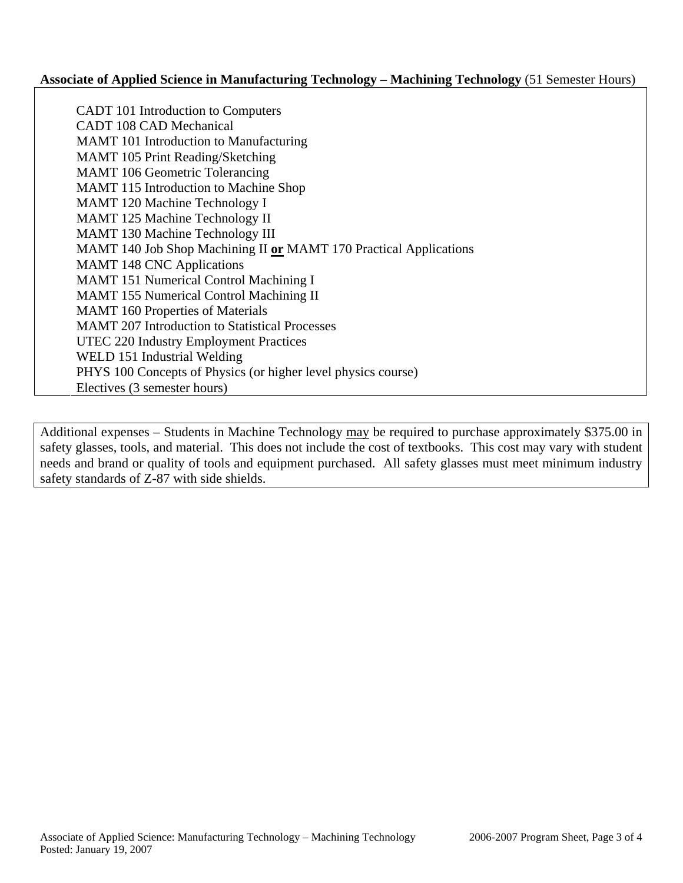### **Associate of Applied Science in Manufacturing Technology – Machining Technology** (51 Semester Hours)

CADT 101 Introduction to Computers CADT 108 CAD Mechanical MAMT 101 Introduction to Manufacturing MAMT 105 Print Reading/Sketching MAMT 106 Geometric Tolerancing MAMT 115 Introduction to Machine Shop MAMT 120 Machine Technology I MAMT 125 Machine Technology II MAMT 130 Machine Technology III MAMT 140 Job Shop Machining II **or** MAMT 170 Practical Applications MAMT 148 CNC Applications MAMT 151 Numerical Control Machining I MAMT 155 Numerical Control Machining II MAMT 160 Properties of Materials MAMT 207 Introduction to Statistical Processes UTEC 220 Industry Employment Practices WELD 151 Industrial Welding PHYS 100 Concepts of Physics (or higher level physics course) Electives (3 semester hours)

Additional expenses – Students in Machine Technology may be required to purchase approximately \$375.00 in safety glasses, tools, and material. This does not include the cost of textbooks. This cost may vary with student needs and brand or quality of tools and equipment purchased. All safety glasses must meet minimum industry safety standards of Z-87 with side shields.